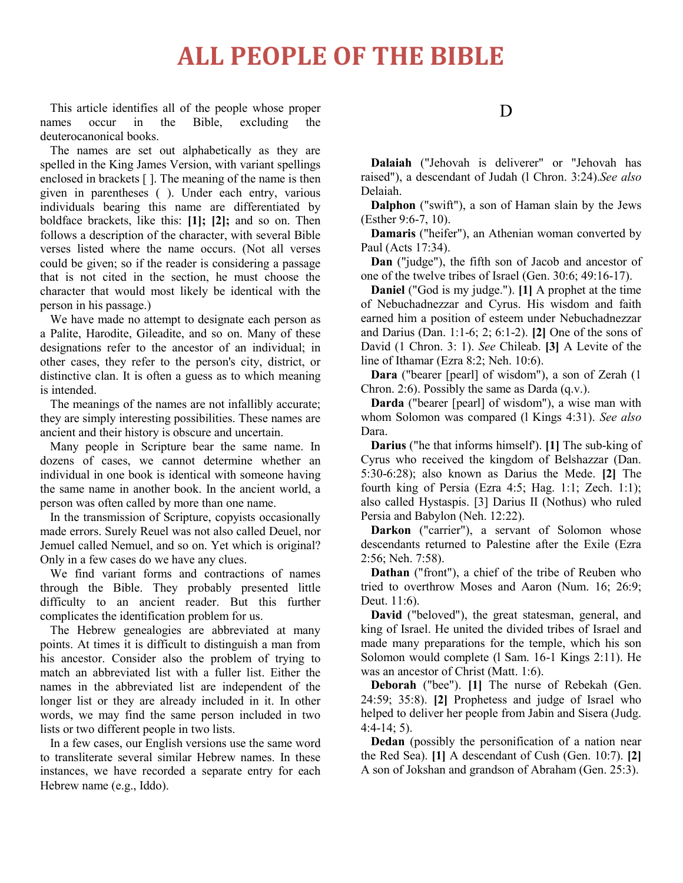## **ALL PEOPLE OF THE BIBLE**

This article identifies all of the people whose proper names occur in the Bible, excluding the deuterocanonical books.

The names are set out alphabetically as they are spelled in the King James Version, with variant spellings enclosed in brackets [ ]. The meaning of the name is then given in parentheses ( ). Under each entry, various individuals bearing this name are differentiated by boldface brackets, like this: **[1]; [2];** and so on. Then follows a description of the character, with several Bible verses listed where the name occurs. (Not all verses could be given; so if the reader is considering a passage that is not cited in the section, he must choose the character that would most likely be identical with the person in his passage.)

We have made no attempt to designate each person as a Palite, Harodite, Gileadite, and so on. Many of these designations refer to the ancestor of an individual; in other cases, they refer to the person's city, district, or distinctive clan. It is often a guess as to which meaning is intended.

The meanings of the names are not infallibly accurate; they are simply interesting possibilities. These names are ancient and their history is obscure and uncertain.

Many people in Scripture bear the same name. In dozens of cases, we cannot determine whether an individual in one book is identical with someone having the same name in another book. In the ancient world, a person was often called by more than one name.

In the transmission of Scripture, copyists occasionally made errors. Surely Reuel was not also called Deuel, nor Jemuel called Nemuel, and so on. Yet which is original? Only in a few cases do we have any clues.

We find variant forms and contractions of names through the Bible. They probably presented little difficulty to an ancient reader. But this further complicates the identification problem for us.

The Hebrew genealogies are abbreviated at many points. At times it is difficult to distinguish a man from his ancestor. Consider also the problem of trying to match an abbreviated list with a fuller list. Either the names in the abbreviated list are independent of the longer list or they are already included in it. In other words, we may find the same person included in two lists or two different people in two lists.

In a few cases, our English versions use the same word to transliterate several similar Hebrew names. In these instances, we have recorded a separate entry for each Hebrew name (e.g., Iddo).

## D

**Dalaiah** ("Jehovah is deliverer" or "Jehovah has raised"), a descendant of Judah (l Chron. 3:24).*See also* Delaiah.

**Dalphon** ("swift"), a son of Haman slain by the Jews (Esther 9:6-7, 10).

**Damaris** ("heifer"), an Athenian woman converted by Paul (Acts 17:34).

**Dan** ("judge"), the fifth son of Jacob and ancestor of one of the twelve tribes of Israel (Gen. 30:6; 49:16-17).

**Daniel** ("God is my judge."). **[1]** A prophet at the time of Nebuchadnezzar and Cyrus. His wisdom and faith earned him a position of esteem under Nebuchadnezzar and Darius (Dan. 1:1-6; 2; 6:1-2). **[2]** One of the sons of David (1 Chron. 3: 1). *See* Chileab. **[3]** A Levite of the line of Ithamar (Ezra 8:2; Neh. 10:6).

**Dara** ("bearer [pearl] of wisdom"), a son of Zerah (1 Chron. 2:6). Possibly the same as Darda (q.v.).

**Darda** ("bearer [pearl] of wisdom"), a wise man with whom Solomon was compared (l Kings 4:31). *See also* Dara.

**Darius** ("he that informs himself'). **[1]** The sub-king of Cyrus who received the kingdom of Belshazzar (Dan. 5:30-6:28); also known as Darius the Mede. **[2]** The fourth king of Persia (Ezra  $4:5$ ; Hag. 1:1; Zech. 1:1); also called Hystaspis. [3] Darius II (Nothus) who ruled Persia and Babylon (Neh. 12:22).

**Darkon** ("carrier"), a servant of Solomon whose descendants returned to Palestine after the Exile (Ezra 2:56; Neh. 7:58).

**Dathan** ("front"), a chief of the tribe of Reuben who tried to overthrow Moses and Aaron (Num. 16; 26:9; Deut. 11:6).

**David** ("beloved"), the great statesman, general, and king of Israel. He united the divided tribes of Israel and made many preparations for the temple, which his son Solomon would complete (l Sam. 16-1 Kings 2:11). He was an ancestor of Christ (Matt. 1:6).

**Deborah** ("bee"). **[1]** The nurse of Rebekah (Gen. 24:59; 35:8). **[2]** Prophetess and judge of Israel who helped to deliver her people from Jabin and Sisera (Judg. 4:4-14; 5).

**Dedan** (possibly the personification of a nation near the Red Sea). **[1]** A descendant of Cush (Gen. 10:7). **[2]** A son of Jokshan and grandson of Abraham (Gen. 25:3).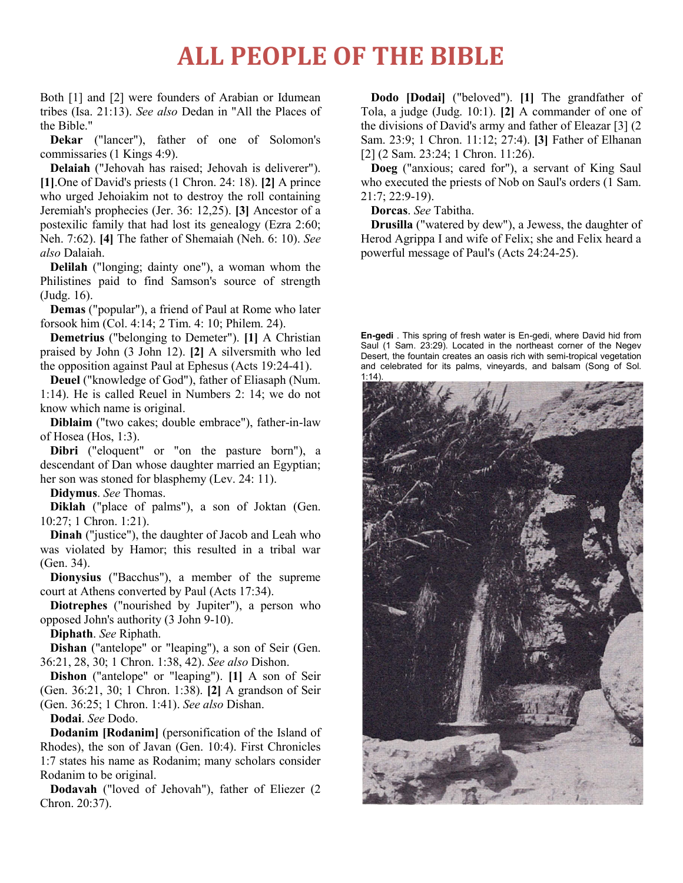## **ALL PEOPLE OF THE BIBLE**

Both [1] and [2] were founders of Arabian or Idumean tribes (Isa. 21:13). *See also* Dedan in "All the Places of the Bible."

**Dekar** ("lancer"), father of one of Solomon's commissaries (1 Kings 4:9).

**Delaiah** ("Jehovah has raised; Jehovah is deliverer"). **[1]**.One of David's priests (1 Chron. 24: 18). **[2]** A prince who urged Jehoiakim not to destroy the roll containing Jeremiah's prophecies (Jer. 36: 12,25). **[3]** Ancestor of a postexilic family that had lost its genealogy (Ezra 2:60; Neh. 7:62). **[4]** The father of Shemaiah (Neh. 6: 10). *See also* Dalaiah.

**Delilah** ("longing; dainty one"), a woman whom the Philistines paid to find Samson's source of strength (Judg. 16).

**Demas** ("popular"), a friend of Paul at Rome who later forsook him (Col. 4:14; 2 Tim. 4: 10; Philem. 24).

**Demetrius** ("belonging to Demeter"). **[1]** A Christian praised by John (3 John 12). **[2]** A silversmith who led the opposition against Paul at Ephesus (Acts 19:24-41).

**Deuel** ("knowledge of God"), father of Eliasaph (Num. 1:14). He is called Reuel in Numbers 2: 14; we do not know which name is original.

**Diblaim** ("two cakes; double embrace"), father-in-law of Hosea (Hos, 1:3).

**Dibri** ("eloquent" or "on the pasture born"), a descendant of Dan whose daughter married an Egyptian; her son was stoned for blasphemy (Lev. 24: 11).

**Didymus**. *See* Thomas.

**Diklah** ("place of palms"), a son of Joktan (Gen. 10:27; 1 Chron. 1:21).

**Dinah** ("justice"), the daughter of Jacob and Leah who was violated by Hamor; this resulted in a tribal war (Gen. 34).

**Dionysius** ("Bacchus"), a member of the supreme court at Athens converted by Paul (Acts 17:34).

**Diotrephes** ("nourished by Jupiter"), a person who opposed John's authority (3 John 9-10).

**Diphath**. *See* Riphath.

**Dishan** ("antelope" or "leaping"), a son of Seir (Gen. 36:21, 28, 30; 1 Chron. 1:38, 42). *See also* Dishon.

**Dishon** ("antelope" or "leaping"). **[1]** A son of Seir (Gen. 36:21, 30; 1 Chron. 1:38). **[2]** A grandson of Seir (Gen. 36:25; 1 Chron. 1:41). *See also* Dishan.

**Dodai**. *See* Dodo.

**Dodanim [Rodanim]** (personification of the Island of Rhodes), the son of Javan (Gen. 10:4). First Chronicles 1:7 states his name as Rodanim; many scholars consider Rodanim to be original.

**Dodavah** ("loved of Jehovah"), father of Eliezer (2 Chron. 20:37).

**Dodo [Dodai]** ("beloved"). **[1]** The grandfather of Tola, a judge (Judg. 10:1). **[2]** A commander of one of the divisions of David's army and father of Eleazar [3] (2 Sam. 23:9; 1 Chron. 11:12; 27:4). **[3]** Father of Elhanan [2] (2 Sam. 23:24; 1 Chron. 11:26).

**Doeg** ("anxious; cared for"), a servant of King Saul who executed the priests of Nob on Saul's orders (1 Sam. 21:7; 22:9-19).

**Dorcas**. *See* Tabitha.

**Drusilla** ("watered by dew"), a Jewess, the daughter of Herod Agrippa I and wife of Felix; she and Felix heard a powerful message of Paul's (Acts 24:24-25).

**En-gedi** . This spring of fresh water is En-gedi, where David hid from Saul (1 Sam. 23:29). Located in the northeast corner of the Negev Desert, the fountain creates an oasis rich with semi-tropical vegetation and celebrated for its palms, vineyards, and balsam (Song of Sol. 1:14).